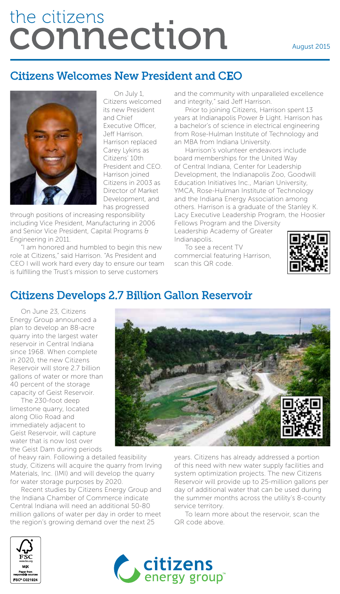# the citizens connection

### Citizens Welcomes New President and CEO



On July 1, Citizens welcomed its new President and Chief Executive Officer, Jeff Harrison. Harrison replaced Carey Lykins as Citizens' 10th President and CEO. Harrison joined Citizens in 2003 as Director of Market Development, and has progressed

through positions of increasing responsibility including Vice President, Manufacturing in 2006 and Senior Vice President, Capital Programs & Engineering in 2011.

"I am honored and humbled to begin this new role at Citizens," said Harrison. "As President and CEO I will work hard every day to ensure our team is fulfilling the Trust's mission to serve customers

and the community with unparalleled excellence and integrity," said Jeff Harrison.

Prior to joining Citizens, Harrison spent 13 years at Indianapolis Power & Light. Harrison has a bachelor's of science in electrical engineering from Rose-Hulman Institute of Technology and an MBA from Indiana University.

Harrison's volunteer endeavors include board memberships for the United Way of Central Indiana, Center for Leadership Development, the Indianapolis Zoo, Goodwill Education Initiatives Inc., Marian University, YMCA, Rose-Hulman Institute of Technology and the Indiana Energy Association among others. Harrison is a graduate of the Stanley K. Lacy Executive Leadership Program, the Hoosier

Fellows Program and the Diversity Leadership Academy of Greater Indianapolis.

To see a recent TV commercial featuring Harrison, scan this QR code.



## Citizens Develops 2.7 Billion Gallon Reservoir

On June 23, Citizens Energy Group announced a plan to develop an 88-acre quarry into the largest water reservoir in Central Indiana since 1968. When complete in 2020, the new Citizens Reservoir will store 2.7 billion gallons of water or more than 40 percent of the storage capacity of Geist Reservoir.

The 230-foot deep limestone quarry, located along Olio Road and immediately adjacent to Geist Reservoir, will capture water that is now lost over the Geist Dam during periods

of heavy rain. Following a detailed feasibility study, Citizens will acquire the quarry from Irving Materials, Inc. (IMI) and will develop the quarry for water storage purposes by 2020.

Recent studies by Citizens Energy Group and the Indiana Chamber of Commerce indicate Central Indiana will need an additional 50-80 million gallons of water per day in order to meet the region's growing demand over the next 25



years. Citizens has already addressed a portion of this need with new water supply facilities and system optimization projects. The new Citizens Reservoir will provide up to 25-million gallons per day of additional water that can be used during the summer months across the utility's 8-county service territory.

To learn more about the reservoir, scan the QR code above.